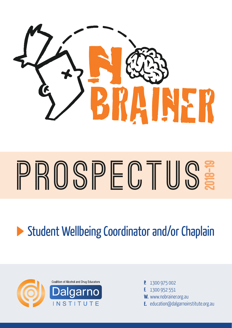

# **Prospectus SHECTUS:**<br>
2019<br>
2019<br>
2019<br>
2019<br>
2019<br>
2019<br>
2019<br>
2019<br>
2019<br>
2019<br>
2019<br>
2019



- **P.** 1300 975 002
- **F.** 1300 952 551
- **W.** www.nobrainer.org.au
- **E.** education@dalgarnoinstitute.org.au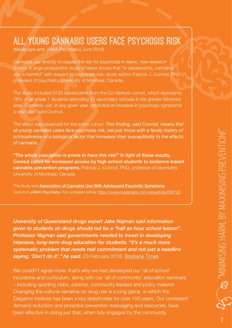## **All Young Cannabis Users Face Psychosis Risk**

(Medscape and JAMA Psychiatry) June 2018

Cannabis use directly increases the risk for psychosis in teens, new research shows. A large prospective study of teens shows that "in adolescents, cannabis use is harmful" with respect to psychosis risk, study author Patricia J. Conrod, PhD, professor of psychiatry, University of Montreal, Canada.

The study included 3720 adolescents from the Co-Venture cohort, which represents 76% of all grade 7 students attending 31 secondary schools in the greater Montreal area. Cannabis use, in any given year, predicted an increase in psychosis symptoms a year later, said Conrod.

The effect was observed for the entire cohort. *This finding, said Conrod, means that all young cannabis users face psychosis risk, not just those with a family history of schizophrenia or a biological factor that increases their susceptibility to the effects of cannabis.*

*"The whole population is prone to have this risk!"* In light of these results, Conrod called for increased access by high school students to evidence-based cannabis prevention programs. Patricia J. Conrod, PhD, professor of psychiatry, University of Montreal, Canada.

The study was [Association of Cannabis Use With Adolescent Psychotic Symptoms](https://jamanetwork.com/journals/jamapsychiatry/article-abstract/2681642?utm_source=facebook&utm_medium=social_jamapsyc&utm_campaign=article_alert&utm_content=automated) June 6 in *JAMA Psychiatry.* For complete article<https://www.medscape.com/viewarticle/898120>

*University of Queensland drugs expert Jake Najman said information given to students on drugs should not be a "half an hour school lesson". Professor Najman said governments needed to invest in developing intensive, long-term drug education for students. "It's a much more systematic problem that needs real commitment and not just a headline saying, 'Don't do it'," he said.* 23 February 2018, [Brisbane Times](https://www.brisbanetimes.com.au/national/student-drug-education-should-not-be-a-half-an-hour-school-lesson-20180223-p4z1gu.html?promote_channel=edmail&mbnr=NjE2NzQ4OQ&eid=email:nnn-13omn633-ret_newsl-membereng:nnn-04%2F11%2F2013-news_pm-dom-news-nnn-btimes-u&campaign_code=13INO004&et_bid=29116973&list_name=2095_brisbane_times&instance=2018-02-23--06-57--UTC)

We couldn't agree more; that's why we had developed our 'all of school' incursions and curriculum, along with our 'all of community' education seminars – including sporting clubs, parents, community leaders and policy makers! Changing the cultural narrative on drug use is a long game, in which the Dalgarno Institute has been a key stakeholder for over 150 years. Our consistent demand reduction and proactive prevention messaging and resources, have been effective in doing just that, when fully engaged by the community.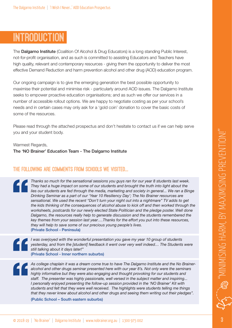# **Introduction**

The **Dalgarno Institute** (Coalition Of Alcohol & Drug Educators) is a long standing Public Interest, not-for-profit organisation, and as such is committed to assisting Educators and Teachers have high quality, relevant and contemporary resources - giving them the opportunity to deliver the most effective Demand Reduction and harm prevention alcohol and other drug (AOD) education program.

Our ongoing campaign is to give the emerging generation the best possible opportunity to maximise their potential and minimise risk - particularly around AOD issues. The Dalgarno Institute seeks to empower proactive education organisations; and as such we offer our services in a number of accessible rollout options. We are happy to negotiate costing as per your school's needs and in certain cases may only ask for a 'gold coin' donation to cover the basic costs of some of the resources.

Please read through the attached prospectus and don't hesitate to contact us if we can help serve you and your student body.

Warmest Regards,

The 'NO Brainer' Education Team - The Dalgarno Institute

## **The following are comments from Schools we visited...**

*Thanks so much for the sensational sessions you guys ran for our year 8 students last week. They had a huge impact on some of our students and brought the truth into light about the*  lies our students are fed through the media, marketing and society in general... We ran a Binge *Drinking Seminar as a part of our 'Year 10 Resiliency Day'; The No Brainer resources are sensational. We used the recent "Don't turn your night out into a nightmare" TV adds to get the kids thinking of the consequences of alcohol abuse to kick off and then worked through the worksheets, postcards for our newly elected State Politician and the pledge poster. Well done Dalgarno, the resources really help to generate discussion and the students remembered the key themes from your session last year….Thanks for the effort you put into these resources, they will help to save some of our precious young people's lives.*  (Private School - Peninsula)

*I was overjoyed with the wonderful presentation you gave my year 10 group of students yesterday, and from the [student] feedback it went over very well indeed… The Students were still talking about it days later!"*  (Private School - Inner northern suburbs)

*As college chaplain it was a dream come true to have The Dalgarno Institute and the No Braineralcohol and other drugs seminar presented here with our year 8's. Not only were the seminars highly informative but they were also engaging and thought provoking for our students and staff. The presenter was highly passionate, well versed in the subject matter and inspiring... I* personally enjoyed presenting the follow-up session provided in the 'NO Brainer' Kit with *students and felt that they were well received. The highlights were students telling me things that they never knew about alcohol and other drugs and seeing them writing out their pledges".* 

(Public School – South eastern suburbs)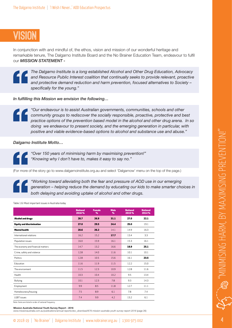# **Vision**

In conjunction with and mindful of, the ethos, vision and mission of our wonderful heritage and remarkable tenure, The Dalgarno Institute Board and the No Brainer Education Team, endeavour to fulfil our *MISSION STATEMENT -* 

*The Dalgarno Institute is a long established Alcohol and Other Drug Education, Advocacy and Resource Public Interest coalition that continually seeks to provide relevant, proactive and protective demand reduction and harm prevention, focused alternatives to Society – specifically for the young."*

*In fulfilling this Mission we envision the following…*



*"Our endeavour is to assist Australian governments, communities, schools and other community groups to rediscover the socially responsible, proactive, protective and best practice options of the prevention based model in the alcohol and other drug arena. In so doing we endeavour to present society, and the emerging generation in particular, with positive and viable evidence-based options to alcohol and substance use and abuse."*

*Dalgarno Institute Motto…*

*"Over 150 years of minimising harm by maximising prevention!" "Knowing why I don't have to, makes it easy to say no."*

(For more of the story go to [www.dalgarnoinstitute.org.au](http://www.dalgarnoinstitute.org.au) and select 'Dalgarnow' menu on the top of the page.)

*"Working toward alleviating both the fear and pressure of AOD use in our emerging generation – helping reduce the demand by educating our kids to make smarter choices in both delaying and avoiding uptake of alcohol and other drugs.*

Table 1.6: Most important issues in Australia today

|                                   | <b>National</b><br>2016% | <b>Female</b><br>% | <b>Male</b><br>% | <b>National</b><br>2015% | <b>National</b><br>2014% |
|-----------------------------------|--------------------------|--------------------|------------------|--------------------------|--------------------------|
| <b>Alcohol and drugs</b>          | 28.7                     | 26.9               | 31.1             | 27.0                     | 22.1                     |
| <b>Equity and discrimination</b>  | 27.0                     | 29.5               | 24.4             | 25.0                     | 19.1                     |
| <b>Mental health</b>              | 20.6                     | 26.2               | 14.1             | 14.9                     | 16.3                     |
| International relations           | 16.2                     | 15.2               | 17.7             | 13.4                     | 3.3                      |
| Population issues                 | 16.0                     | 15.9               | 16.1             | 15.3                     | 16.1                     |
| The economy and financial matters | 14.7                     | 13.2               | 16.6             | 18.9                     | 25.1                     |
| Crime, safety and violence        | 12.8                     | 14.0               | 11.6             | 10.1                     | 10.1                     |
| Politics                          | 12.8                     | 10.5               | 15.6             | 16.1                     | 23.5                     |
| Education                         | 11.6                     | 11.9               | 11.5             | 12.2                     | 15.0                     |
| The environment                   | 11.5                     | 12.3               | 10.9             | 12.8                     | 11.6                     |
| Health                            | 10.3                     | 10.4               | 10.2             | 9.5                      | 13.4                     |
| <b>Bullying</b>                   | 10.1                     | 12.3               | 7.8              | 9.3                      | 14.3                     |
| Employment                        | 9.9                      | 8.5                | 11.8             | 12.7                     | 11.1                     |
| Homelessness/housing              | 7.5                      | 8.9                | 6.1              | 7.8                      | 7.4                      |
| LGBT issues                       | 7.4                      | 9.9                | 4.2              | 13.2                     | 6.1                      |

Note: Items are listed in order of national frequency

Mission Australia National Youth Survey Report - 2016

*www.missionaustralia.com.au/publications/annual-reports/doc\_download/676-mission-australia-youth-survey-report-2016* (page 26)

For the first time in 2016, respondents were asked whether they had personally experienced any unfair treatment or discrimination in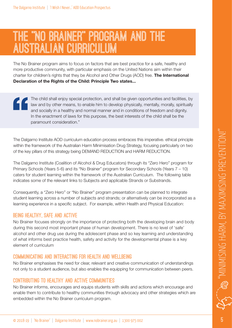# **THE "NO BRAINER" PROGRAM AND THE AUSTRALIAN CURRICULUM**

The No Brainer program aims to focus on factors that are best practice for a safe, healthy and more productive community, with particular emphasis on the United Nations aim within their charter for children's rights that they be Alcohol and Other Drugs (AOD) free. The International Declaration of the Rights of the Child: Principle Two states...

The child shall enjoy special protection, and shall be given opportunities and facilities, by law and by other means, to enable him to develop physically, mentally, morally, spiritually and socially in a healthy and normal manner and in conditions of freedom and dignity. In the enactment of laws for this purpose, the best interests of the child shall be the paramount consideration."

The Dalgarno Institute AOD curriculum education process embraces this imperative. ethical principle within the framework of the Australian Harm Minimisation Drug Strategy, focusing particularly on two of the key pillars of this strategy being DEMAND REDUCTION and HARM REDUCTION.

The Dalgarno Institute (Coalition of Alcohol & Drug Educators) through its "Zero Hero" program for Primary Schools (Years 5-6) and its "No Brainer" program for Secondary Schools (Years 7 – 10) caters for student learning within the framework of the Australian Curriculum. The following table indicates some of the relevant links to Subjects and applicable Strands or Substrands.

Consequently, a "Zero Hero" or "No Brainer" program presentation can be planned to integrate student learning across a number of subjects and strands; or alternatively can be incorporated as a learning experience in a specific subject. For example, within Health and Physical Education:

#### **Being healthy, safe and active**

No Brainer focuses strongly on the importance of protecting both the developing brain and body during this second most important phase of human development. There is no level of 'safe' alcohol and other drug use during the adolescent phase and so key learning and understanding of what informs best practice health, safety and activity for the developmental phase is a key element of curriculum

#### **Communicating and interacting for health and wellbeing**

No Brainer emphasises the need for clear, relevant and creative communication of understandings not only to a student audience, but also enables the equipping for communication between peers.

#### **Contributing to healthy and active communities**

No Brainer informs, encourages and equips students with skills and actions which encourage and enable them to contribute to healthy communities through advocacy and other strategies which are embedded within the No Brainer curriculum program.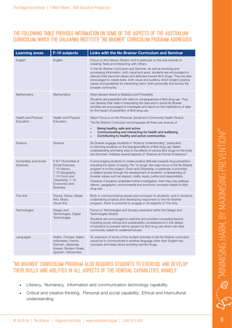#### **The following table provides information on some of the aspects of the Australian Curriculum which the Dalgarno Institute "NO Brainer" Curriculum Program addresses:**

| <b>Learning areas</b>             | F-10 subjects                                                                                                                                          | Links with the No Brainer Curriculum and Seminar                                                                                                                                                                                                                                                                                                                                                                                                                                                                                                                                            |
|-----------------------------------|--------------------------------------------------------------------------------------------------------------------------------------------------------|---------------------------------------------------------------------------------------------------------------------------------------------------------------------------------------------------------------------------------------------------------------------------------------------------------------------------------------------------------------------------------------------------------------------------------------------------------------------------------------------------------------------------------------------------------------------------------------------|
| English                           | English                                                                                                                                                | Focus on the Literacy Strand, and in particular on the sub strands of<br>Creating Texts and Interacting with Others.<br>In the No Brainer Curriculum and Seminar, as well as receiving and<br>processing information, both visual and aural, students are encouraged to<br>discuss their personal values and attitudes toward illicit drugs. They are also<br>encouraged to create texts, both visual and auditory which project positive<br>values and guidelines for preventing harm, both personally and across the<br>broader community.                                                |
| <b>Mathematics</b>                | <b>Mathematics</b>                                                                                                                                     | Most relevant strand is Statistics and Probability.<br>Students are presented with data on consequences of illicit drug use. They<br>can develop their skills in interpreting the data and in some No Brainer<br>activities are encouraged to investigate and report on the implications of data<br>on the impact of prevention of illicit drug use.                                                                                                                                                                                                                                        |
| Health and Physical<br>Education  | Health and Physical<br>Education                                                                                                                       | Major Focus is on the Personal, Social and Community Health Strand.<br>The No Brainer Curriculum encompasses all three sub strands of<br>Being healthy, safe and active<br>$\bullet$<br>Communicating and interacting for health and wellbeing<br>$\bullet$<br>Contributing to healthy and active communities                                                                                                                                                                                                                                                                               |
| Science                           | Science                                                                                                                                                | No Brainer engages students in "Science Understanding", particularly<br>in informing students on the biological effects of illicit drug use. Better<br>understanding and being wise to the effects of various illicit drugs on the body<br>and the brain. Address several aspects of "Science as Human Endeavour"                                                                                                                                                                                                                                                                           |
| Humanities and Social<br>Sciences | F-6/7 Humanities &<br>Social Sciences,<br>7-10 History,<br>7-10 Geography,<br>7-10 Civics and<br>Citizenship, 7-10<br>Economics and<br><b>Business</b> | In encouraging students to create positive attitudes towards drug prevention,<br>including the option of saying "No" to drugs, the major focus of the No Brainer<br>program is on the subject: Civics and Citizenship, in particular, it promotes<br>a resilient society through the development of students' understanding of<br>broader values such as respect, civility, equity, justice and responsibility.<br>However, if students undertake further investigation, then they may address<br>historic, geographic, environmental and economic concepts related to illicit<br>drug use. |
| The Arts                          | Drama, Dance, Media<br>Arts, Music,<br><b>Visual Arts</b>                                                                                              | Both in communicating issues and concepts to students, and in students<br>undertaking projects and developing responses to the No Brainer<br>program, there is potential to engage in all aspects of The Arts.                                                                                                                                                                                                                                                                                                                                                                              |
| Technologies                      | Design and<br>Technologies, Digital<br>Technologies                                                                                                    | Focus on Technologies and Society substrand within the Design and<br>Technologies Strand.<br>Students are encouraged to examine and prioritise competing factors<br>including social, ethical and sustainability considerations in the design<br>of solutions to prevent harms caused by illicit drug use which will meet<br>community needs for preferred futures.                                                                                                                                                                                                                         |
| Languages                         | Arabic, Chinese, Italian,<br>Indonesian, French,<br>German, Japanese,<br>Korean, Modern Greek,<br>Spanish, Vietnamese                                  | An extension of some of the student activities in the No Brainer curriculum<br>would be to communicate in another language other than English key<br>concepts and ideas about avoiding harmful drugs.                                                                                                                                                                                                                                                                                                                                                                                       |

#### **"NO Brainer" Curriculum Program also requires students to exercise and develop their skills and abilities in all aspects of the General Capabilities, namely:**

- Literacy, Numeracy, Information and communication technology capability
- Critical and creative thinking, Personal and social capability, Ethical and Intercultural understanding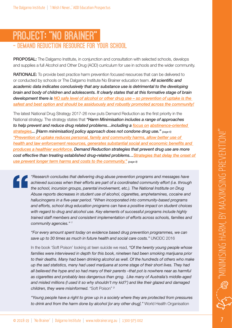## **PROJECT: "NO BRAINER" – DEMAND REDUCTION RESOURCE FOR YOUR SCHOOL**

PROPOSAL: The Dalgarno Institute, in conjunction and consultation with selected schools, develops and supplies a full Alcohol and Other Drug (AOD) curriculum for use in schools and the wider community.

RATIONALE: To provide best practice harm prevention focused resources that can be delivered to or conducted by schools or The Dalgarno Institute No Brainer education team. *All scientific and academic data indicates conclusively that any substance use is detrimental to the developing brain and body of children and adolescents. It clearly states that at this formative stage of brain development there is NO safe level of alcohol or other drug use – so prevention of uptake is the safest and best option and should be assiduously and robustly promoted across the community!*

The latest National Drug Strategy 2017-26 now puts Demand Reduction as the first priority in the National strategy. The strategy states that *"Harm Minimisation includes a range of approaches to help prevent and reduce drug related problems…including a focus on abstinence-oriented*  **strategies... [Harm minimisation] policy approach does not condone drug use."** (page 6) *"Prevention of uptake reduces personal, family and community harms, allow better use of health and law enforcement resources, generates substantial social and economic benefits and produces a healthier workforce. Demand Reduction strategies that prevent drug use are more cost effective than treating established drug-related problems…Strategies that delay the onset of use prevent longer term harms and costs to the community." (page 8)*

*"Research concludes that delivering drug abuse prevention programs and messages have achieved success when their efforts are part of a coordinated community effort (i.e. through the school, incursion groups, parental involvement, etc.). The National Institute on Drug Abuse reports decreases in student use of alcohol, cigarettes, amphetamines, cocaine and hallucinogens in a five-year period. "When incorporated into community-based programs and efforts, school drug education programs can have a positive impact on student choices with regard to drug and alcohol use. Key elements of successful programs include highly trained staff members and consistent implementation of efforts across schools, families and community agencies." 1* 

*"For every amount spent today on evidence based drug prevention programmes, we can save up to 30 times as much in future health and social care costs."* UNODC 2016

In the book 'Soft Poison' looking at teen suicide we read, *"Of the twenty young people whose families were interviewed in depth for this book, nineteen had been smoking marijuana prior*  to their deaths. Many had been drinking alcohol as well. Of the hundreds of others who make *up the sad statistics, many had used marijuana at some stage of their short lives. They had all believed the hype and so had many of their parents –that pot is nowhere near as harmful as cigarettes and probably less dangerous than grog. Like many of Australia's middle-aged and misled millions (I used it so why shouldn't my kid?') and like their glazed and damaged children, they were misinformed.* "Soft Poison" *<sup>3</sup>*

*"Young people have a right to grow up in a society where they are protected from pressures to drink and from the harm done by alcohol [or any other drug]."* World Health Organisation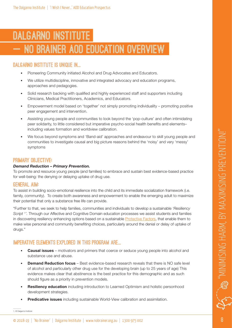# **Dalgarno Institute BRAINER AOD EDUCATION OVERVIEW**

#### **Dalgarno Institute is unique in...**

- Pioneering Community initiated Alcohol and Drug Advocates and Educators.
- We utilize multidiscipline, innovative and integrated advocacy and education programs, approaches and pedagogies.
- Solid research backing with qualified and highly experienced staff and supporters including Clinicians, Medical Practitioners, Academics, and Educators.
- Empowerment model based on 'together' not simply promoting individuality promoting positive peer engagement and intervention.
- Assisting young people and communities to look beyond the 'pop-culture' and often intimidating peer solidarity, to little considered but imperative psycho-social health benefits and elements– including values formation and worldview calibration.
- We focus beyond symptoms and 'Band-aid' approaches and endeavour to skill young people and communities to investigate causal and big picture reasons behind the 'noisy' and very 'messy' symptoms

#### **Primary Objective:**

#### *Demand Reduction – Primary Prevention.*

To promote and resource young people (and families) to embrace and sustain best evidence-based practice for well-being: the denying or delaying uptake of drug use.

#### **General Aim:**

To assist in building socio-emotional resilience into the child and its immediate socialization framework (i.e. family, community). To create both awareness and empowerment to enable the emerging adult to maximize their potential that only a substance free life can provide.

"Further to that, we seek to help families, communities and individuals to develop a sustainable *'Resiliency Script 1 '.* Through our Affective and Cognitive Domain education processes we assist students and families in discovering resiliency enhancing options based on a sustainable [Protective Factors](https://www.search-institute.org/our-research/development-assets/developmental-assets-framework/), that enable them to make wise personal and community benefiting choices, particularly around the denial or delay of uptake of drugs."

## **IMPERATIVE ELEMENTS EXPLORED IN THIS PROGRAM ARE...**

- **Causal issues** motivators and primers that coerce or seduce young people into alcohol and substance use and abuse.
- **Demand Reduction focus** Best evidence-based research reveals that there is NO safe level of alcohol and particularly other drug use for the developing brain (up to 25 years of age) This evidence makes clear that abstinence is the best practice for this demographic and as such should figure as a priority in prevention models.
- Resiliency education including introduction to Learned Optimism and holistic personhood development strategies.
- **Predicative issues** including sustainable World-View calibration and assimilation.

1. © Dalgarno Institute

 $\sim$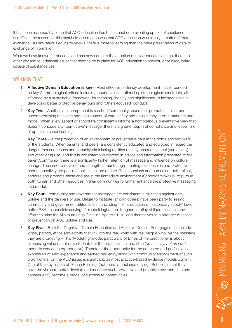It has been assumed by some that AOD education has little impact on preventing uptake of substance use. Often the reason for this past held assumption was that AOD education was simply a matter of 'data exchange'. As any serious educator knows, there is more to learning than the mere presentation of data or exchange of information.

What we have known for decades and has now come to the attention of most educators, is that there are other key and foundational issues that need to be in place for AOD education to prevent, or at least, delay uptake of substance use.

## **We know that...…**

- 1. **Affective Domain Education is key** Most effective resiliency development that is founded on key Anthropological criteria including, sound values, rational epistemological constructs, all informed by a sustainable framework for meaning, identity and significance, is indispensable in developing better protective behaviours and 'others-focused' conduct.
- 2. Key Two Another vital component is a school/community space that promotes a clear and uncompromising message and environment of care, safety and consistency in both mandate and model. When every aspect of school life consistently informs a homogenous preventative view that doesn't concede any 'permissive' message, there is a greater depth of compliance and lesser risk of uptake in school settings.
- 3. Key Three is the promotion of an environment of preventative care in the home and family life of the students. When parents (and peers) are consistently educated and equipped in regard the dangers/consequences and capacity diminishing realities of early onset of alcohol (particularly) and other drug use, and this is consistently reinforced in advice and information presented to the parent/community, there is a significantly higher retention of message and influence on culture change. The need to develop and strengthen mentoring/parenting relationships and protective peer connectivity are part of a holistic culture of care. The incursions and curriculum both reflect, endorse and promote these and assist the immediate environment (School/family/club) to pursue both human and other resources in their communities to further enhance the protective messaging and model.
- 4. Key Four community and government messages are consistent in militating against early uptake and the dangers of use. Dalgarno Institute (among others) have been party to seeing community and government attitudes shift, including the introduction of 'secondary supply' laws, better RSA (responsible serving of alcohol) legislation, tougher scrutiny of liquor licences and efforts to raise the Minimum Legal Drinking Age to 21, all lend themselves to a stronger message of prevention on AOD uptake and use.
- 5. Key Five Both the Cognitive Domain Education and Affective Domain Pedagogy must include logos, pathos, ethos and activity that link into the real world with real people who live the message they are promoting – This 'Modelling' mode, particularly of Ethos of the practitioner is about expressing value of not only student, but the protective culture. (The *'do as I say, not as I do'* model is very counterproductive). Therefore, the opportunity for the educated and professional expression of lived experience and earned resiliency, along with community engagement of such practitioners, on the AOD issue, is significant, as most practice-based evidence models confirm. One of the key assets of 'Fence Building' (not mere 'ambulance driving') Schools is that they have the vision to better develop and mandate such protective and proactive environments and consequently become a model of success to communities.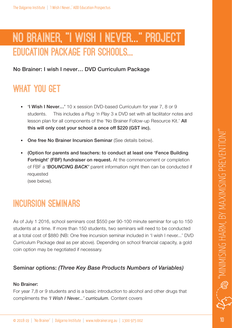# **NO Brainer, "I Wish I Never..." Project Education Package for Schools...**

No Brainer: I wish I never… DVD Curriculum Package

## **What You Get**

- 'I Wish I Never…' 10 x session DVD-based Curriculum for year 7, 8 or 9 students. This includes a *Plug 'n Play* 3 x DVD set with all facilitator notes and lesson plan for all components of the 'No Brainer Follow-up Resource Kit.' All this will only cost your school a once off \$220 (GST inc).
- One free No Brainer Incursion Seminar (See details below).
- (Option for parents and teachers: to conduct at least one 'Fence Building Fortnight' (FBF) fundraiser on request. At the commencement or completion of FBF a *'BOUNCING BACK'* parent information night then can be conducted if requested (see below).

# **Incursion seminars**

As of July 1 2016, school seminars cost \$550 per 90-100 minute seminar for up to 150 students at a time. If more than 150 students, two seminars will need to be conducted at a total cost of \$880 (NB: One free incursion seminar included in 'I wish I never...' DVD Curriculum Package deal as per above). Depending on school financial capacity, a gold coin option may be negotiated if necessary.

## Seminar options: *(Three Key Base Products Numbers of Variables)*

#### No Brainer:

For year 7,8 or 9 students and is a basic introduction to alcohol and other drugs that compliments the *'I Wish I Never...' curriculum.* Content covers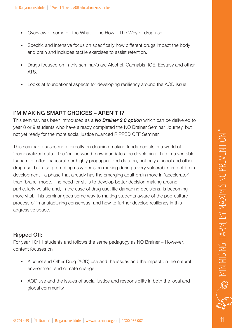- Overview of some of The What The How The Why of drug use.
- Specific and intensive focus on specifically how different drugs impact the body and brain and includes tactile exercises to assist retention.
- Drugs focused on in this seminar/s are Alcohol, Cannabis, ICE, Ecstasy and other ATS.
- Looks at foundational aspects for developing resiliency around the AOD issue.

## I'M MAKING SMART CHOICES – AREN'T I?

This seminar, has been introduced as a *No Brainer 2.0 option* which can be delivered to year 8 or 9 students who have already completed the NO Brainer Seminar Journey, but not yet ready for the more social justice nuanced RIPPED OFF Seminar.

This seminar focuses more directly on decision making fundamentals in a world of 'democratized data.' The 'online world' now inundates the developing child in a veritable tsunami of often inaccurate or highly propagandized data on, not only alcohol and other drug use, but also promoting risky decision making during a very vulnerable time of brain development - a phase that already has the emerging adult brain more in 'accelerator' than 'brake' mode. The need for skills to develop better decision making around particularly volatile and, in the case of drug use, life damaging decisions, is becoming more vital. This seminar goes some way to making students aware of the pop-culture process of 'manufacturing consensus' and how to further develop resiliency in this aggressive space.

## Ripped Off:

For year 10/11 students and follows the same pedagogy as NO Brainer – However, content focuses on

- Alcohol and Other Drug (AOD) use and the issues and the impact on the natural environment and climate change.
- AOD use and the issues of social justice and responsibility in both the local and global community.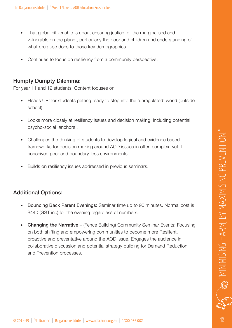- That global citizenship is about ensuring justice for the marginalised and vulnerable on the planet, particularly the poor and children and understanding of what drug use does to those key demographics.
- Continues to focus on resiliency from a community perspective.

### Humpty Dumpty Dilemma:

For year 11 and 12 students. Content focuses on

- Heads UP' for students getting ready to step into the 'unregulated' world (outside school).
- Looks more closely at resiliency issues and decision making, including potential psycho-social 'anchors'.
- Challenges the thinking of students to develop logical and evidence based frameworks for decision making around AOD issues in often complex, yet illconceived peer and boundary-less environments.
- Builds on resiliency issues addressed in previous seminars.

## Additional Options:

- Bouncing Back Parent Evenings: Seminar time up to 90 minutes. Normal cost is \$440 (GST inc) for the evening regardless of numbers.
- Changing the Narrative (Fence Building) Community Seminar Events: Focusing on both shifting and empowering communities to become more Resilient, proactive and preventative around the AOD issue. Engages the audience in collaborative discussion and potential strategy building for Demand Reduction and Prevention processes.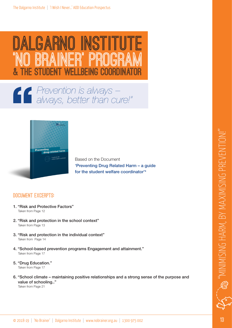

## *Prevention is always –*   $\mathbf{G}$ *always, better than cure!"*



Based on the Document 'Preventing Drug Related Harm – a guide for the student welfare coordinator'4

#### **DOCUMENT EXCERPTS:**

- 1. "Risk and Protective Factors" Taken from Page 12
- 2. "Risk and protection in the school context" Taken from Page 13
- 3. "Risk and protection in the individual context" Taken from Page 14
- 4. "School-based prevention programs Engagement and attainment." Taken from Page 17
- 5. "Drug Education." Taken from Page 17
- 6. "School climate maintaining positive relationships and a strong sense of the purpose and value of schooling.."

"MINIMISING HARM, BY MAXIMISING PREVENTION!"

JIMISING HARM, BY MAXIMISING PREVENTION!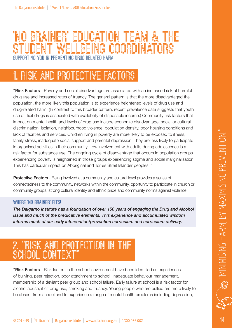## **'NO Brainer' Education team & the YELLBEING COORDINATORS Supporting you in preventing drug related harm!**

# **1. Risk and Protective Factors**

"Risk Factors - Poverty and social disadvantage are associated with an increased risk of harmful drug use and increased rates of truancy. The general pattern is that the more disadvantaged the population, the more likely this population is to experience heightened levels of drug use and drug-related harm. (In contrast to this broader pattern, recent prevalence data suggests that youth use of illicit drugs is associated with availability of disposable income.) Community risk factors that impact on mental health and levels of drug use include economic disadvantage, social or cultural discrimination, isolation, neighbourhood violence, population density, poor housing conditions and lack of facilities and services. Children living in poverty are more likely to be exposed to illness, family stress, inadequate social support and parental depression. They are less likely to participate in organised activities in their community. Low involvement with adults during adolescence is a risk factor for substance use. The ongoing cycle of disadvantage that occurs in population groups experiencing poverty is heightened in those groups experiencing stigma and social marginalisation. This has particular impact on Aboriginal and Torres Strait Islander peoples. "

Protective Factors - Being involved at a community and cultural level provides a sense of connectedness to the community, networks within the community, oportunity to participate in church or community groups, strong cultural identity and ethnic pride and community norms against violence.

#### **Where 'No Brainer' Fits!**

*The Dalgarno Institute has a foundation of over 150 years of engaging the Drug and Alcohol issue and much of the predicative elements. This experience and accumulated wisdom informs much of our early intervention/prevention curriculum and curriculum delivery.* 

# **2. "Risk and protection in the** SCHOOL CONTFX<sup>1</sup>

"Risk Factors - Risk factors in the school environment have been identified as experiences of bullying, peer rejection, poor attachment to school, inadequate behaviour management, membership of a deviant peer group and school failure. Early failure at school is a risk factor for alcohol abuse, illicit drug use, smoking and truancy. Young people who are bullied are more likely to be absent from school and to experience a range of mental health problems including depression,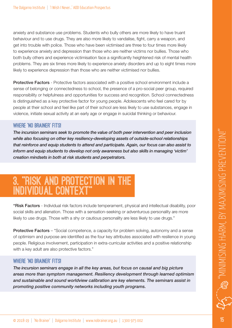anxiety and substance use problems. Students who bully others are more likely to have truant behaviour and to use drugs. They are also more likely to vandalise, fight, carry a weapon, and get into trouble with police. Those who have been victimised are three to four times more likely to experience anxiety and depression than those who are neither victims nor bullies. Those who both bully others and experience victimisation face a significantly heightened risk of mental health problems. They are six times more likely to experience anxiety disorders and up to eight times more likely to experience depression than those who are neither victimised nor bullies.

**Protective Factors** - Protective factors associated with a positive school environment include a sense of belonging or connectedness to school, the presence of a pro-social peer group, required responsibility or helpfulness and opportunities for success and recognition. School connectedness is distinguished as a key protective factor for young people. Adolescents who feel cared for by people at their school and feel like part of their school are less likely to use substances, engage in violence, initiate sexual activity at an early age or engage in suicidal thinking or behaviour.

#### **Where 'No Brainer' Fits!**

*The incursion seminars seek to promote the value of both peer intervention and peer inclusion while also focusing on other key resiliency-developing assets of outside-school relationships that reinforce and equip students to attend and participate. Again, our focus can also assist to inform and equip students to develop not only awareness but also skills in managing 'victim' creation mindsets in both at risk students and perpetrators.*

# **3. "Risk and protection in the individual context"**

"Risk Factors - Individual risk factors include temperament, physical and intellectual disability, poor social skills and alienation. Those with a sensation-seeking or adventurous personality are more likely to use drugs. Those with a shy or cautious personality are less likely to use drugs."

**Protective Factors** – "Social competence, a capacity for problem solving, autonomy and a sense of optimism and purpose are identified as the four key attributes associated with resilience in young people. Religious involvement, participation in extra-curricular activities and a positive relationship with a key adult are also protective factors."

#### **Where 'No Brainer' Fits!**

*The incursion seminars engage in all the key areas, but focus on causal and big picture areas more than symptom management. Resiliency development through learned optimism and sustainable and sound worldview calibration are key elements. The seminars assist in promoting positive community networks including youth programs.*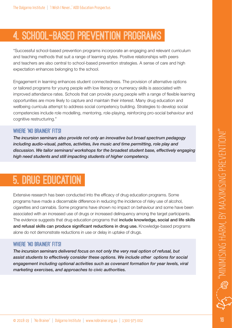# **4. School-based prevention programs**

"Successful school-based prevention programs incorporate an engaging and relevant curriculum and teaching methods that suit a range of learning styles. Positive relationships with peers and teachers are also central to school-based prevention strategies. A sense of care and high expectation enhances belonging to the school.

Engagement in learning enhances student connectedness. The provision of alternative options or tailored programs for young people with low literacy or numeracy skills is associated with improved attendance rates. Schools that can provide young people with a range of flexible learning opportunities are more likely to capture and maintain their interest. Many drug education and wellbeing curricula attempt to address social competency building. Strategies to develop social competencies include role modelling, mentoring, role-playing, reinforcing pro-social behaviour and cognitive restructuring."

#### **Where 'No Brainer' Fits!**

*The incursion seminars also provide not only an innovative but broad spectrum pedagogy including audio-visual, pathos, activities, live music and time permitting, role play and discussion. We tailor seminars/ workshops for the broadest student base, effectively engaging high need students and still impacting students of higher competency.*

# **5. Drug education**

Extensive research has been conducted into the efficacy of drug education programs. Some programs have made a discernable difference in reducing the incidence of risky use of alcohol, cigarettes and cannabis. Some programs have shown no impact on behaviour and some have been associated with an increased use of drugs or increased delinquency among the target participants. The evidence suggests that drug education programs that include knowledge, social and life skills and refusal skills can produce significant reductions in drug use. Knowledge-based programs alone do not demonstrate reductions in use or delay in uptake of drugs.

#### **Where 'No Brainer' Fits!**

*The incursion seminars delivered focus on not only the very real option of refusal, but assist students to effectively consider these options. We include other options for social engagement including optional activities such as covenant formation for year levels, viral marketing exercises, and approaches to civic authorities.*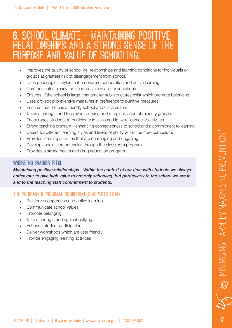## **6. School climate – maintaining positive relationships and a strong sense of the purpose and value of schooling.**

- Improves the quality of school life, relationships and learning conditions for individuals or groups at greatest risk of disengagement from school.
- Uses pedagogical styles that emphasise cooperation and active learning.
- Communicates clearly the school's values and expectations.
- Ensures, if the school is large, that smaller sub-structures exist which promote belonging.
- Uses pro-social preventive measures in preference to punitive measures.
- Ensures that there is a friendly school and class culture.
- Takes a strong stand to prevent bullying and marginalisation of minority groups.
- Encourages students to participate in class and in extra-curricular activities.
- Strong teaching program enhancing connectedness to school and a commitment to learning.
- Caters for different learning styles and levels of ability within the core curriculum.
- Provides learning activities that are challenging and engaging.
- Develops social competencies through the classroom program.
- Provides a strong health and drug education program.

#### **Where 'No Brainer' Fits!**

*Maintaining positive relationships - Within the context of our time with students we always endeavour to give high value to not only schooling, but particularly to the school we are in and to the teaching staff commitment to students.* 

## **THE NO BRAINER PROGRAM INCORPORATES ASPECTS that:**

- Reinforce cooperation and active learning
- Communicate school values
- Promote belonging
- Take a strong stand against bullying
- Enhance student participation
- Deliver workshops which are user friendly
- Provide engaging learning activities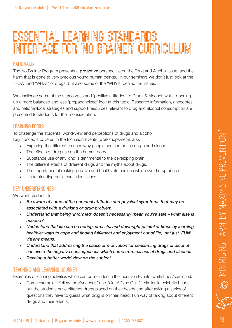# **Essential Learning Standards INTERFACE for 'NO BRAINER' Curriculum**

#### **Rationale:**

The No Brainer Program presents a **proactive** perspective on the Drug and Alcohol issue, and the harm that is done to very precious young human beings. In our seminars we don't just look at the 'HOW' and 'WHAT' of drugs, but also some of the 'WHY's' behind the issues.

We challenge some of the stereotypes and 'positive attitudes' to Drugs & Alcohol, whilst opening up a more balanced and less 'propagandized' look at this topic. Research information, anecdotes and national/local strategies and support resources relevant to drug and alcohol consumption are presented to students for their consideration.

#### **Learning Focus:**

To challenge the students' world-view and perceptions of drugs and alcohol.

Key concepts covered in the Incursion Events (workshops/seminars):

- Exploring the different reasons why people use and abuse drugs and alcohol.
- The effects of drug use on the human body.
- Substance use of any kind is detrimental to the developing brain.
- The different effects of different drugs and the myths about drugs.
- The importance of making positive and healthy life choices which avoid drug abuse.
- Understanding basic causation issues.

#### **Key understandings:**

We want students to:

- *Be aware of some of the personal attitudes and physical symptoms that may be associated with a drinking or drug problem.*
- *Understand that being 'informed' doesn't necessarily mean you're safe what else is needed?*
- *Understand that life can be boring, stressful and downright painful at times by learning healthier ways to cope and finding fulfilment and enjoyment out of life, not just 'FUN' via any means.*
- *Understand that addressing the cause or motivation for consuming drugs or alcohol can avoid the negative consequences which come from misuse of drugs and alcohol.*
- *Develop a better world view on the subject.*

#### **Teaching and Learning Journey:**

Examples of learning activities which can be included in the Incursion Events (workshops/seminars):

• Game example: "Follow the Synapses" and "Get A Clue Quiz" - similar to celebrity heads but the students have different drugs placed on their heads and after asking a series of questions they have to guess what drug is on their head. Fun way of talking about different drugs and their effects.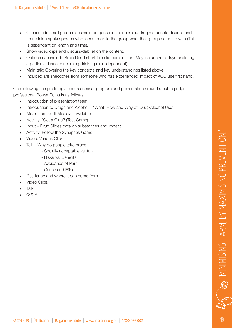- Can include small group discussion on questions concerning drugs: students discuss and then pick a spokesperson who feeds back to the group what their group came up with (This is dependant on length and time).
- Show video clips and discuss/debrief on the content.
- Options can include Brain Dead short film clip competition. May include role plays exploring a particular issue concerning drinking (time dependent).
- Main talk: Covering the key concepts and key understandings listed above.
- Included are anecdotes from someone who has experienced impact of AOD use first hand.

One following sample template (of a seminar program and presentation around a cutting edge professional Power Point) is as follows:

- Introduction of presentation team
- Introduction to Drugs and Alcohol "What, How and Why of Drug/Alcohol Use"
- Music item(s): If Musician available
- Activity: 'Get a Clue? (Test Game)
- Input Drug Slides data on substances and impact
- Activity: Follow the Synapses Game
- Video: Various Clips
- Talk Why do people take drugs
	- Socially acceptable vs. fun
	- Risks vs. Benefits
	- Avoidance of Pain
	- Cause and Effect
- Resilience and where it can come from
- Video Clips.
- Talk
- $O & A$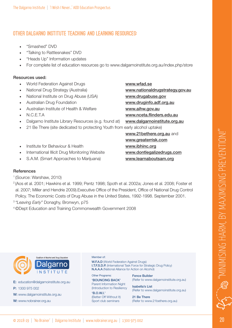## **other dalgarno institute Teaching and Learning Resources:**

- "Smashed" DVD
- "Talking to Rattlesnakes" DVD
- "Heads Up" Information updates
- For complete list of education resources go to www.dalgarnoinstitute.org.au/index.php/store

#### Resources used:

- World Federation Against Drugs www.wfad.se
- National Drug Strategy (Australia) www.nationaldrugstrategy.gov.au
- National Institute on Drug Abuse (USA) www.drugabuse.gov
- Australian Drug Foundation www.druginfo.adf.org.au
- Australian Institute of Health & Welfare www.aihw.gov.au
- 
- Dalgarno Institute Library Resources (e.g. found at) www.dalgarnoinstitute.org.au
- 21 Be There (site dedicated to protecting Youth from early alcohol uptake)
- Institute for Behaviour & Health www.ibhinc.org
- International Illicit Drug Monitoring Website www.dontlegalizedrugs.com
- S.A.M. (Smart Approaches to Marijuana) www.learnaboutsam.org

• N.C.E.T.A www.nceta.flinders.edu.au

www.21bethere.org.au and www.greaterrisk.com

#### **References**

- 1 (Source: Warshaw, 2010)
- 2 (Aos et al. 2001; Hawkins et al. 1999; Pentz 1998; Spoth et al. 2002a; Jones et al. 2008; Foster et al. 2007; Miller and Hendrie 2009).Executive Office of the President, Office of National Drug Control Policy. The Economic Costs of Drug Abuse in the United States, 1992-1998. September 2001.
- <sup>3</sup>*"Leaving Early"* Donaghy, Bronwyn, p75
- 4 ©Dept Education and Training Commonwealth Government 2008



E: education@dalgarnoinstitute.org.au P: 1300 975 002 W: www.dalgarnoinstitute.org.au W: www.nobrainer.org.au

#### Member of:

W.F.A.D (World Federation Against Drugs) I.T.F.S.D.P. (International Task Force for Strategic Drug Policy) N.A.A.A (National Alliance for Action on Alcohol)

Other Programs: 'BOUNCING BACK' Parent Information Night

(Introduction to Resiliency 'B.O.W.I.' (Better Off Without It) Sport club seminars

Fence Builder (Refer to www.dalgarnoinstitute.org.au)

Isabella's List (Refer to www.dalgarnoinstitute.org.au)

21 Be There (Refer to www.21bethere.org.au)